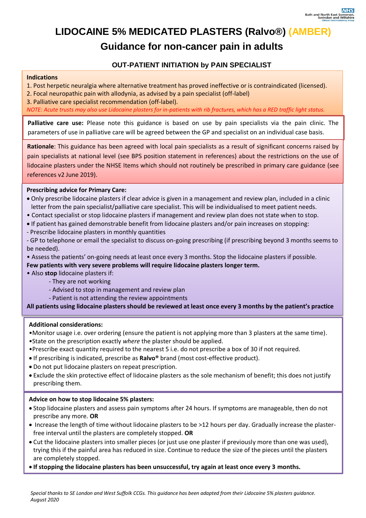## **LIDOCAINE 5% MEDICATED PLASTERS (Ralvo®) (AMBER)**

### **Guidance for non-cancer pain in adults**

### **OUT-PATIENT INITIATION by PAIN SPECIALIST**

#### **Indications**

1. Post herpetic neuralgia where alternative treatment has proved ineffective or is contraindicated (licensed).

- 2. Focal neuropathic pain with allodynia, as advised by a pain specialist (off-label)
- 3. Palliative care specialist recommendation (off-label).

*NOTE: Acute trusts may also use Lidocaine plasters for in-patients with rib fractures, which has a RED traffic light status.*

**Palliative care use:** Please note this guidance is based on use by pain specialists via the pain clinic. The parameters of use in palliative care will be agreed between the GP and specialist on an individual case basis.

 pain specialists at national level (see BPS position statement in references) about the restrictions on the use of **Rationale**: This guidance has been agreed with local pain specialists as a result of significant concerns raised by lidocaine plasters under the NHSE Items which should not routinely be prescribed in primary care guidance (see references v2 June 2019).

### **Prescribing advice for Primary Care:**

- Only prescribe lidocaine plasters if clear advice is given in a management and review plan, included in a clinic letter from the pain specialist/palliative care specialist. This will be individualised to meet patient needs.
- Contact specialist or stop lidocaine plasters if management and review plan does not state when to stop.
- If patient has gained demonstrable benefit from lidocaine plasters and/or pain increases on stopping:
- Prescribe lidocaine plasters in monthly quantities

- GP to telephone or email the specialist to discuss on-going prescribing (if prescribing beyond 3 months seems to be needed).

• Assess the patients' on-going needs at least once every 3 months. Stop the lidocaine plasters if possible.

### **Few patients with very severe problems will require lidocaine plasters longer term.**

- Also **stop** lidocaine plasters if:
	- They are not working
	- Advised to stop in management and review plan
	- Patient is not attending the review appointments

**All patients using lidocaine plasters should be reviewed at least once every 3 months by the patient's practice**

### **Additional considerations:**

- •Monitor usage i.e. over ordering (ensure the patient is not applying more than 3 plasters at the same time). •State on the prescription exactly *where* the plaster should be applied.
- •Prescribe exact quantity required to the nearest 5 i.e. do not prescribe a box of 30 if not required.
- If prescribing is indicated, prescribe as **Ralvo®** brand (most cost-effective product).
- Do not put lidocaine plasters on repeat prescription.
- Exclude the skin protective effect of lidocaine plasters as the sole mechanism of benefit; this does not justify prescribing them.

### **Advice on how to stop lidocaine 5% plasters:**

- Stop lidocaine plasters and assess pain symptoms after 24 hours. If symptoms are manageable, then do not prescribe any more. **OR**
- Increase the length of time without lidocaine plasters to be >12 hours per day. Gradually increase the plasterfree interval until the plasters are completely stopped. **OR**
- Cut the lidocaine plasters into smaller pieces (or just use one plaster if previously more than one was used), trying this if the painful area has reduced in size. Continue to reduce the size of the pieces until the plasters are completely stopped.
- **If stopping the lidocaine plasters has been unsuccessful, try again at least once every 3 months.**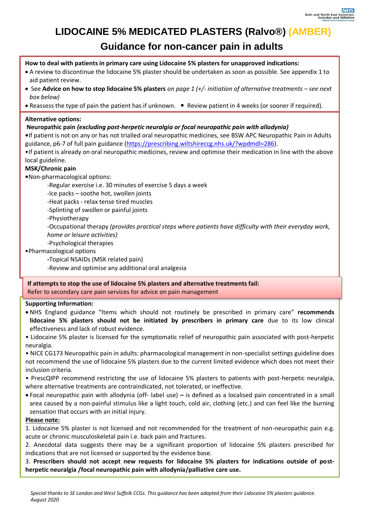## **LIDOCAINE 5% MEDICATED PLASTERS (Ralvo®) (AMBER)**

### **Guidance for non-cancer pain in adults**

### **How to deal with patients in primary care using Lidocaine 5% plasters for unapproved indications:**

- A review to discontinue the lidocaine 5% plaster should be undertaken as soon as possible. See appendix 1 to aid patient review.
- See **Advice on how to stop lidocaine 5% plasters** *on page 1 (+/- initiation of alternative treatments – see next box below)*
- Reassess the type of pain the patient has if unknown. Review patient in 4 weeks (or sooner if required).

### **Alternative options:**

### **Neuropathic pain** *(excluding post-herpetic neuralgia or focal neuropathic pain with allodynia)*

**•**If patient is not on any or has not trialled oral neuropathic medicines, see BSW APC Neuropathic Pain in Adults guidance, p6-7 of full pain guidance [\(https://prescribing.wiltshireccg.nhs.uk/?wpdmdl=286\)](https://prescribing.wiltshireccg.nhs.uk/?wpdmdl=286).

•If patient is already on oral neuropathic medicines, review and optimise their medication in line with the above local guideline.

### **MSK/Chronic pain**

**•**Non-pharmacological options:

-Regular exercise i.e. 30 minutes of exercise 5 days a week

-Ice packs – soothe hot, swollen joints

-Heat packs - relax tense tired muscles

-Splinting of swollen or painful joints

-Physiotherapy

-Occupational therapy *(provides practical steps where patients have difficulty with their everyday work, home or leisure activities)* 

-Psychological therapies

•Pharmacological options

**-**Topical NSAIDs (MSK related pain)

-Review and optimise any additional oral analgesia

**If attempts to stop the use of lidocaine 5% plasters and alternative treatments fail:** Refer to secondary care pain services for advice on pain management

### **Supporting Information:**

 NHS England guidance "Items which should not routinely be prescribed in primary care" **recommends lidocaine 5% plasters should not be initiated by prescribers in primary care** due to its low clinical effectiveness and lack of robust evidence.

• Lidocaine 5% plaster is licensed for the symptomatic relief of neuropathic pain associated with post-herpetic neuralgia.

• NICE CG173 Neuropathic pain in adults: pharmacological management in non-specialist settings guideline does not recommend the use of lidocaine 5% plasters due to the current limited evidence which does not meet their inclusion criteria.

• PrescQIPP recommend restricting the use of lidocaine 5% plasters to patients with post-herpetic neuralgia, where alternative treatments are contraindicated, not tolerated, or ineffective.

 Focal neuropathic pain with allodynia (off- label use) **–** is defined as a localised pain concentrated in a small area caused by a non-painful stimulus like a light touch, cold air, clothing (etc.) and can feel like the burning sensation that occurs with an initial injury.

### **Please note:**

1. Lidocaine 5% plaster is not licensed and not recommended for the treatment of non-neuropathic pain e.g. acute or chronic musculoskeletal pain i.e. back pain and fractures.

2. Anecdotal data suggests there may be a significant proportion of lidocaine 5% plasters prescribed for indications that are not licensed or supported by the evidence base.

3. **Prescribers should not accept new requests for lidocaine 5% plasters for indications outside of postherpetic neuralgia /focal neuropathic pain with allodynia/palliative care use.**